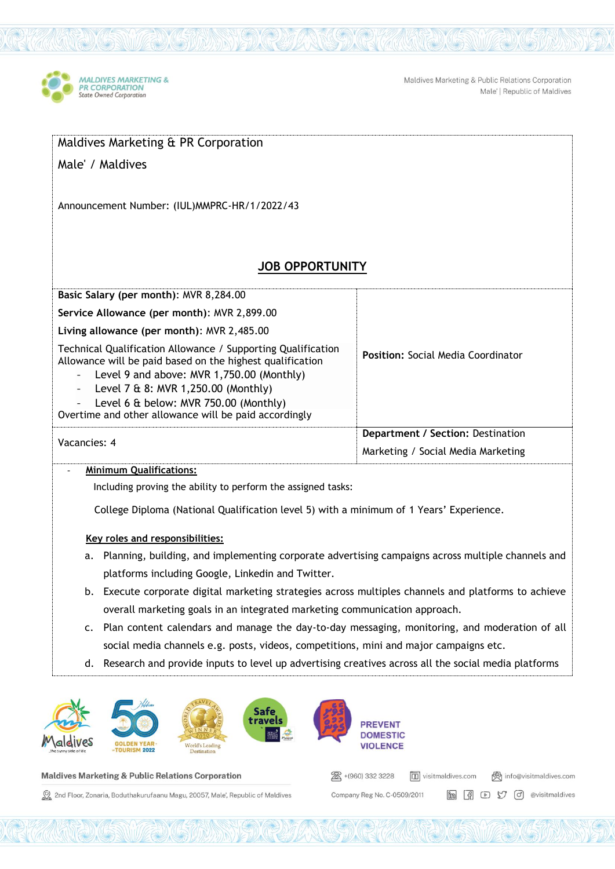

Maldives Marketing & Public Relations Corporation Male' | Republic of Maldives

| Maldives Marketing & PR Corporation                                                                                                                                    |                                           |  |  |  |  |  |
|------------------------------------------------------------------------------------------------------------------------------------------------------------------------|-------------------------------------------|--|--|--|--|--|
| Male' / Maldives                                                                                                                                                       |                                           |  |  |  |  |  |
|                                                                                                                                                                        |                                           |  |  |  |  |  |
| Announcement Number: (IUL) MMPRC-HR/1/2022/43                                                                                                                          |                                           |  |  |  |  |  |
|                                                                                                                                                                        |                                           |  |  |  |  |  |
|                                                                                                                                                                        |                                           |  |  |  |  |  |
| <b>JOB OPPORTUNITY</b>                                                                                                                                                 |                                           |  |  |  |  |  |
| Basic Salary (per month): MVR 8,284.00                                                                                                                                 |                                           |  |  |  |  |  |
| Service Allowance (per month): MVR 2,899.00                                                                                                                            |                                           |  |  |  |  |  |
| Living allowance (per month): MVR 2,485.00                                                                                                                             |                                           |  |  |  |  |  |
| Technical Qualification Allowance / Supporting Qualification<br>Allowance will be paid based on the highest qualification<br>Level 9 and above: MVR 1,750.00 (Monthly) | <b>Position: Social Media Coordinator</b> |  |  |  |  |  |
| Level 7 & 8: MVR 1,250.00 (Monthly)                                                                                                                                    |                                           |  |  |  |  |  |
| Level 6 & below: MVR 750.00 (Monthly)<br>Overtime and other allowance will be paid accordingly                                                                         |                                           |  |  |  |  |  |
|                                                                                                                                                                        |                                           |  |  |  |  |  |
| Vacancies: 4                                                                                                                                                           | Department / Section: Destination         |  |  |  |  |  |
|                                                                                                                                                                        | Marketing / Social Media Marketing        |  |  |  |  |  |
| <b>Minimum Qualifications:</b>                                                                                                                                         |                                           |  |  |  |  |  |

Including proving the ability to perform the assigned tasks:

College Diploma (National Qualification level 5) with a minimum of 1 Years' Experience.

## **Key roles and responsibilities:**

- a. Planning, building, and implementing corporate advertising campaigns across multiple channels and platforms including Google, Linkedin and Twitter.
- b. Execute corporate digital marketing strategies across multiples channels and platforms to achieve overall marketing goals in an integrated marketing communication approach.
- c. Plan content calendars and manage the day-to-day messaging, monitoring, and moderation of all social media channels e.g. posts, videos, competitions, mini and major campaigns etc.

图 +(960) 332 3228

Company Reg No. C-0509/2011

visitmaldives.com

(ovisitmaldives.com

**in 9**  $\circ$   $\circ$  *O*  $\circ$  @visitmaldives

d. Research and provide inputs to level up advertising creatives across all the social media platforms



## **Maldives Marketing & Public Relations Corporation**

2nd Floor, Zonaria, Boduthakurufaanu Magu, 20057, Male', Republic of Maldives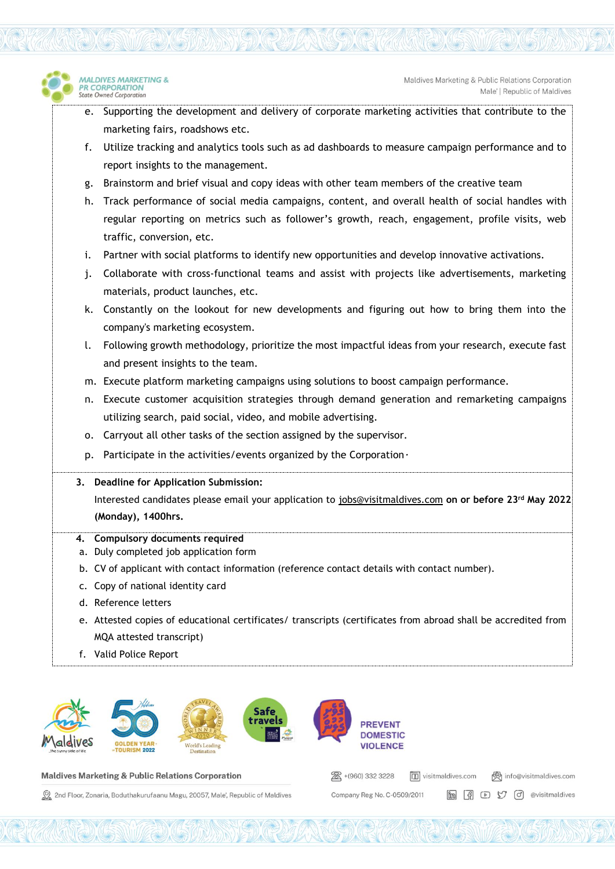

- f. Utilize tracking and analytics tools such as ad dashboards to measure campaign performance and to report insights to the management.
- g. Brainstorm and brief visual and copy ideas with other team members of the creative team
- h. Track performance of social media campaigns, content, and overall health of social handles with regular reporting on metrics such as follower's growth, reach, engagement, profile visits, web traffic, conversion, etc.
- i. Partner with social platforms to identify new opportunities and develop innovative activations.
- j. Collaborate with cross-functional teams and assist with projects like advertisements, marketing materials, product launches, etc.
- k. Constantly on the lookout for new developments and figuring out how to bring them into the company's marketing ecosystem.
- l. Following growth methodology, prioritize the most impactful ideas from your research, execute fast and present insights to the team.
- m. Execute platform marketing campaigns using solutions to boost campaign performance.
- n. Execute customer acquisition strategies through demand generation and remarketing campaigns utilizing search, paid social, video, and mobile advertising.
- o. Carryout all other tasks of the section assigned by the supervisor.
- p. Participate in the activities/events organized by the Corporation *.*

## **3. Deadline for Application Submission:**

Interested candidates please email your application to [jobs@visitmaldives.com](mailto:jobs@visitmaldives.com) **on or before 23rd May 2022 (Monday), 1400hrs.**

- **4. Compulsory documents required**
- a. Duly completed job application form
- b. CV of applicant with contact information (reference contact details with contact number).
- c. Copy of national identity card
- d. Reference letters

**MALDIVES MARKETING &** 

R CORPORATION

State Owned Corporation

- e. Attested copies of educational certificates/ transcripts (certificates from abroad shall be accredited from MQA attested transcript)
- f. Valid Police Report



```
Maldives Marketing & Public Relations Corporation
```
2nd Floor, Zonaria, Boduthakurufaanu Magu, 20057, Male', Republic of Maldives

| 28 +(960) 332 3228          | visitmaldives.com |  |                                                                 | info@visitm |  |  |  |
|-----------------------------|-------------------|--|-----------------------------------------------------------------|-------------|--|--|--|
| Company Reg No. C-0509/2011 |                   |  | $\mathbb{R}$ $\mathbb{R}$ $\odot$ $\mathcal{O}$ $\odot$ $\circ$ |             |  |  |  |

aldives.com

sitmaldives